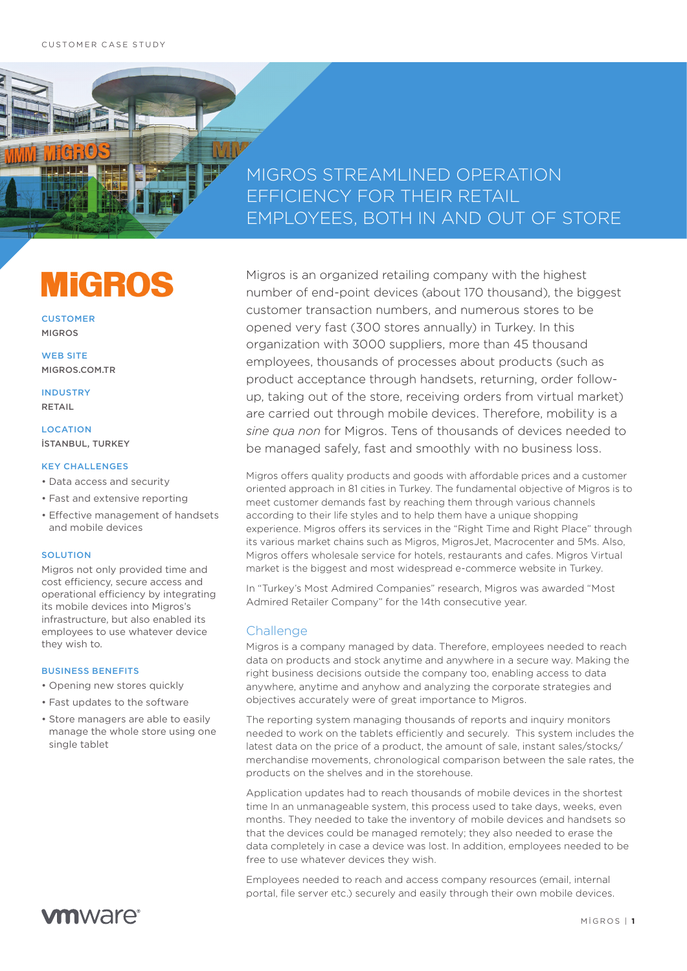# MIGROS STREAMLINED OPERATION EFFICIENCY FOR THEIR RETAIL EMPLOYEES, BOTH IN AND OUT OF STORE

# **MIGROS**

**CUSTOMER** MIGROS

WEB SITE MIGROS.COM.TR

INDUSTRY RETAIL

**LOCATION** İSTANBUL, TURKEY

### KEY CHALLENGES

- Data access and security
- Fast and extensive reporting
- Effective management of handsets and mobile devices

## **SOLUTION**

Migros not only provided time and cost efficiency, secure access and operational efficiency by integrating its mobile devices into Migros's infrastructure, but also enabled its employees to use whatever device they wish to.

#### BUSINESS BENEFITS

- Opening new stores quickly
- Fast updates to the software
- Store managers are able to easily manage the whole store using one single tablet

**vm**ware<sup>®</sup>

Migros is an organized retailing company with the highest number of end-point devices (about 170 thousand), the biggest customer transaction numbers, and numerous stores to be opened very fast (300 stores annually) in Turkey. In this organization with 3000 suppliers, more than 45 thousand employees, thousands of processes about products (such as product acceptance through handsets, returning, order followup, taking out of the store, receiving orders from virtual market) are carried out through mobile devices. Therefore, mobility is a *sine qua non* for Migros. Tens of thousands of devices needed to be managed safely, fast and smoothly with no business loss.

Migros offers quality products and goods with affordable prices and a customer oriented approach in 81 cities in Turkey. The fundamental objective of Migros is to meet customer demands fast by reaching them through various channels according to their life styles and to help them have a unique shopping experience. Migros offers its services in the "Right Time and Right Place" through its various market chains such as Migros, MigrosJet, Macrocenter and 5Ms. Also, Migros offers wholesale service for hotels, restaurants and cafes. Migros Virtual market is the biggest and most widespread e-commerce website in Turkey.

In "Turkey's Most Admired Companies" research, Migros was awarded "Most Admired Retailer Company" for the 14th consecutive year.

# **Challenge**

Migros is a company managed by data. Therefore, employees needed to reach data on products and stock anytime and anywhere in a secure way. Making the right business decisions outside the company too, enabling access to data anywhere, anytime and anyhow and analyzing the corporate strategies and objectives accurately were of great importance to Migros.

The reporting system managing thousands of reports and inquiry monitors needed to work on the tablets efficiently and securely. This system includes the latest data on the price of a product, the amount of sale, instant sales/stocks/ merchandise movements, chronological comparison between the sale rates, the products on the shelves and in the storehouse.

Application updates had to reach thousands of mobile devices in the shortest time In an unmanageable system, this process used to take days, weeks, even months. They needed to take the inventory of mobile devices and handsets so that the devices could be managed remotely; they also needed to erase the data completely in case a device was lost. In addition, employees needed to be free to use whatever devices they wish.

Employees needed to reach and access company resources (email, internal portal, file server etc.) securely and easily through their own mobile devices.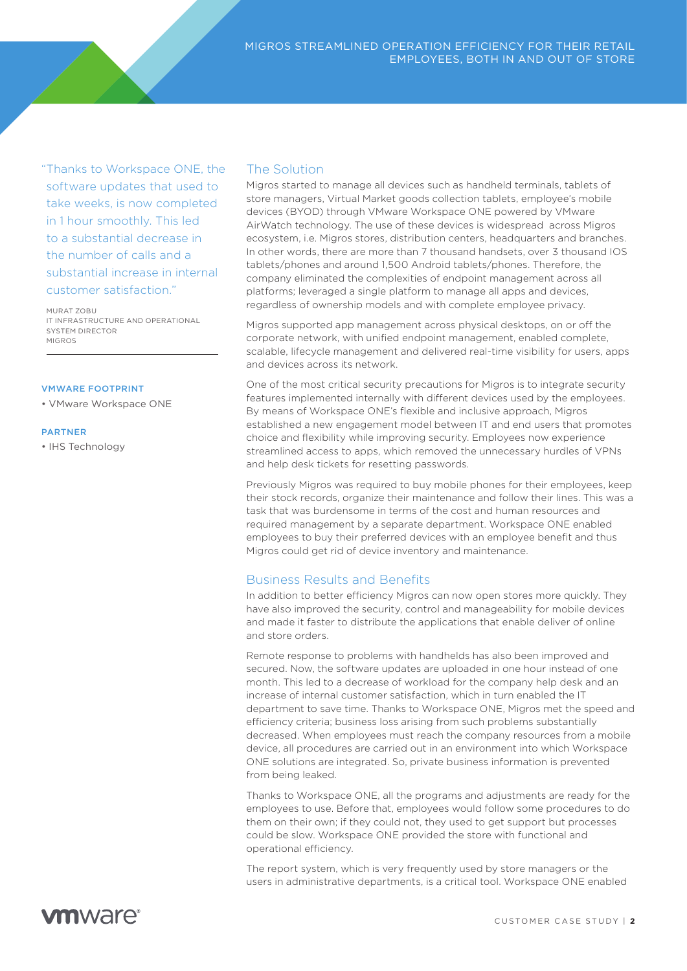"Thanks to Workspace ONE, the software updates that used to take weeks, is now completed in 1 hour smoothly. This led to a substantial decrease in the number of calls and a substantial increase in internal customer satisfaction."

MURAT ZOBU IT INFRASTRUCTURE AND OPERATIONAL SYSTEM DIRECTOR MIGROS

#### VMWARE FOOTPRINT

• VMware Workspace ONE

#### PARTNER

• IHS Technology

# The Solution

Migros started to manage all devices such as handheld terminals, tablets of store managers, Virtual Market goods collection tablets, employee's mobile devices (BYOD) through VMware Workspace ONE powered by VMware AirWatch technology. The use of these devices is widespread across Migros ecosystem, i.e. Migros stores, distribution centers, headquarters and branches. In other words, there are more than 7 thousand handsets, over 3 thousand IOS tablets/phones and around 1,500 Android tablets/phones. Therefore, the company eliminated the complexities of endpoint management across all platforms; leveraged a single platform to manage all apps and devices, regardless of ownership models and with complete employee privacy.

Migros supported app management across physical desktops, on or off the corporate network, with unified endpoint management, enabled complete, scalable, lifecycle management and delivered real-time visibility for users, apps and devices across its network.

One of the most critical security precautions for Migros is to integrate security features implemented internally with different devices used by the employees. By means of Workspace ONE's flexible and inclusive approach, Migros established a new engagement model between IT and end users that promotes choice and flexibility while improving security. Employees now experience streamlined access to apps, which removed the unnecessary hurdles of VPNs and help desk tickets for resetting passwords.

Previously Migros was required to buy mobile phones for their employees, keep their stock records, organize their maintenance and follow their lines. This was a task that was burdensome in terms of the cost and human resources and required management by a separate department. Workspace ONE enabled employees to buy their preferred devices with an employee benefit and thus Migros could get rid of device inventory and maintenance.

# Business Results and Benefits

In addition to better efficiency Migros can now open stores more quickly. They have also improved the security, control and manageability for mobile devices and made it faster to distribute the applications that enable deliver of online and store orders.

Remote response to problems with handhelds has also been improved and secured. Now, the software updates are uploaded in one hour instead of one month. This led to a decrease of workload for the company help desk and an increase of internal customer satisfaction, which in turn enabled the IT department to save time. Thanks to Workspace ONE, Migros met the speed and efficiency criteria; business loss arising from such problems substantially decreased. When employees must reach the company resources from a mobile device, all procedures are carried out in an environment into which Workspace ONE solutions are integrated. So, private business information is prevented from being leaked.

Thanks to Workspace ONE, all the programs and adjustments are ready for the employees to use. Before that, employees would follow some procedures to do them on their own; if they could not, they used to get support but processes could be slow. Workspace ONE provided the store with functional and operational efficiency.

The report system, which is very frequently used by store managers or the users in administrative departments, is a critical tool. Workspace ONE enabled